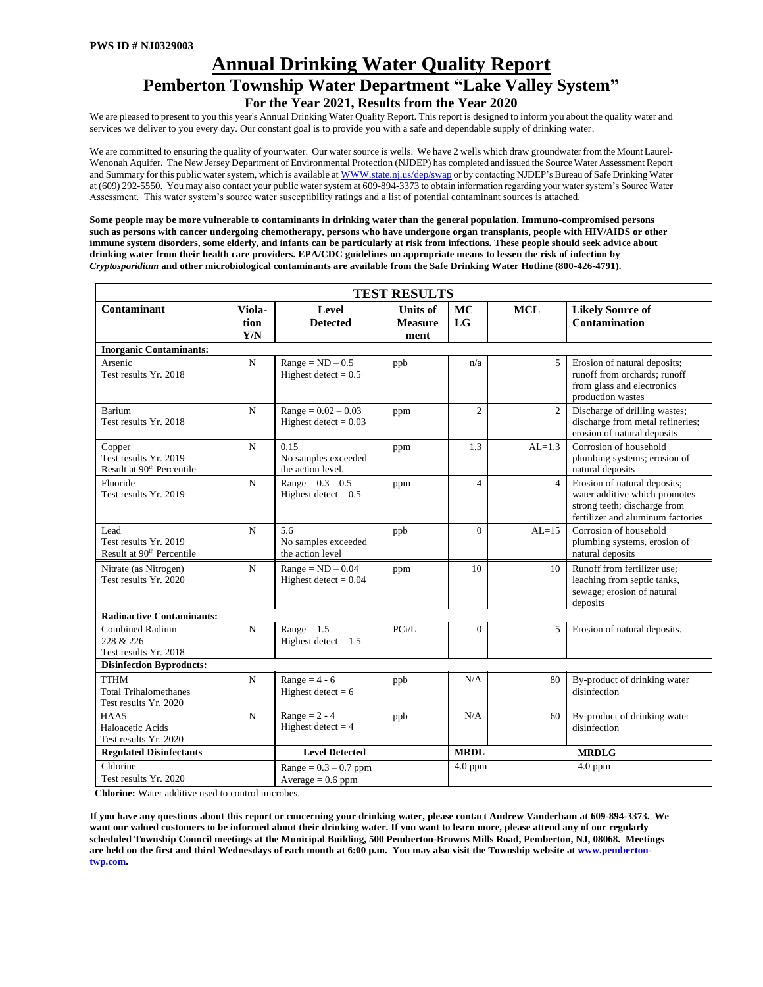# **Annual Drinking Water Quality Report Pemberton Township Water Department "Lake Valley System" For the Year 2021, Results from the Year 2020**

We are pleased to present to you this year's Annual Drinking Water Quality Report. This report is designed to inform you about the quality water and services we deliver to you every day. Our constant goal is to provide you with a safe and dependable supply of drinking water.

We are committed to ensuring the quality of your water. Our water source is wells. We have 2 wells which draw groundwater from the Mount Laurel-Wenonah Aquifer. The New Jersey Department of Environmental Protection (NJDEP) has completed and issued the Source Water Assessment Report and Summary for this public water system, which is available [at WWW.state.nj.us/dep/swap](http://www.state.nj.us/dep/swap) or by contacting NJDEP's Bureau of Safe Drinking Water at (609) 292-5550. You may also contact your public water system at 609-894-3373 to obtain information regarding your water system's Source Water Assessment. This water system's source water susceptibility ratings and a list of potential contaminant sources is attached.

**Some people may be more vulnerable to contaminants in drinking water than the general population. Immuno-compromised persons such as persons with cancer undergoing chemotherapy, persons who have undergone organ transplants, people with HIV/AIDS or other immune system disorders, some elderly, and infants can be particularly at risk from infections. These people should seek advice about drinking water from their health care providers. EPA/CDC guidelines on appropriate means to lessen the risk of infection by**  *Cryptosporidium* **and other microbiological contaminants are available from the Safe Drinking Water Hotline (800-426-4791).** 

|                                                                          |                       |                                                  | <b>TEST RESULTS</b>                       |                 |                |                                                                                                                                    |  |  |  |  |
|--------------------------------------------------------------------------|-----------------------|--------------------------------------------------|-------------------------------------------|-----------------|----------------|------------------------------------------------------------------------------------------------------------------------------------|--|--|--|--|
| Contaminant                                                              | Viola-<br>tion<br>Y/N | Level<br><b>Detected</b>                         | <b>Units of</b><br><b>Measure</b><br>ment | <b>MC</b><br>LG | <b>MCL</b>     | <b>Likely Source of</b><br>Contamination                                                                                           |  |  |  |  |
| <b>Inorganic Contaminants:</b>                                           |                       |                                                  |                                           |                 |                |                                                                                                                                    |  |  |  |  |
| Arsenic<br>Test results Yr. 2018                                         | $\mathbf N$           | $Range = ND - 0.5$<br>Highest detect = $0.5$     | ppb                                       | n/a             | 5              | Erosion of natural deposits;<br>runoff from orchards; runoff<br>from glass and electronics<br>production wastes                    |  |  |  |  |
| <b>Barium</b><br>Test results Yr. 2018                                   | $\mathbf N$           | $Range = 0.02 - 0.03$<br>Highest detect = $0.03$ | ppm                                       | $\overline{c}$  | $\overline{2}$ | Discharge of drilling wastes;<br>discharge from metal refineries;<br>erosion of natural deposits                                   |  |  |  |  |
| Copper<br>Test results Yr. 2019<br>Result at 90 <sup>th</sup> Percentile | $\mathbf N$           | 0.15<br>No samples exceeded<br>the action level. | ppm                                       | 1.3             | $AL=1.3$       | Corrosion of household<br>plumbing systems; erosion of<br>natural deposits                                                         |  |  |  |  |
| Fluoride<br>Test results Yr. 2019                                        | N                     | $Range = 0.3 - 0.5$<br>Highest detect = $0.5$    | ppm                                       | $\overline{4}$  | $\overline{4}$ | Erosion of natural deposits;<br>water additive which promotes<br>strong teeth; discharge from<br>fertilizer and aluminum factories |  |  |  |  |
| Lead<br>Test results Yr. 2019<br>Result at 90 <sup>th</sup> Percentile   | $\mathbf N$           | 5.6<br>No samples exceeded<br>the action level   | ppb                                       | $\Omega$        | $AL=15$        | Corrosion of household<br>plumbing systems, erosion of<br>natural deposits                                                         |  |  |  |  |
| Nitrate (as Nitrogen)<br>Test results Yr. 2020                           | N                     |                                                  | ppm                                       | 10              | 10             | Runoff from fertilizer use:<br>leaching from septic tanks,<br>sewage; erosion of natural<br>deposits                               |  |  |  |  |
| <b>Radioactive Contaminants:</b>                                         |                       |                                                  |                                           |                 |                |                                                                                                                                    |  |  |  |  |
| <b>Combined Radium</b><br>N<br>228 & 226<br>Test results Yr. 2018        |                       | $Range = 1.5$<br>Highest detect = $1.5$          | PCi/L                                     | $\Omega$        | 5              | Erosion of natural deposits.                                                                                                       |  |  |  |  |
| <b>Disinfection Byproducts:</b>                                          |                       |                                                  |                                           |                 |                |                                                                                                                                    |  |  |  |  |
| <b>TTHM</b><br><b>Total Trihalomethanes</b><br>Test results Yr. 2020     | N                     | Range = $4 - 6$<br>Highest detect = $6$          | ppb                                       | N/A             | 80             | By-product of drinking water<br>disinfection                                                                                       |  |  |  |  |
| HAA5<br>Haloacetic Acids<br>Test results Yr. 2020                        | N                     | Range = $2 - 4$<br>Highest detect $= 4$          | ppb                                       | N/A             | 60             | By-product of drinking water<br>disinfection                                                                                       |  |  |  |  |
| <b>Regulated Disinfectants</b>                                           |                       | <b>Level Detected</b>                            |                                           | <b>MRDL</b>     |                | <b>MRDLG</b>                                                                                                                       |  |  |  |  |
| Chlorine<br>Test results Yr. 2020                                        |                       | $Range = 0.3 - 0.7$ ppm<br>$Average = 0.6$ ppm   |                                           | $4.0$ ppm       |                | $4.0$ ppm                                                                                                                          |  |  |  |  |

 **Chlorine:** Water additive used to control microbes.

**If you have any questions about this report or concerning your drinking water, please contact Andrew Vanderham at 609-894-3373. We want our valued customers to be informed about their drinking water. If you want to learn more, please attend any of our regularly scheduled Township Council meetings at the Municipal Building, 500 Pemberton-Browns Mills Road, Pemberton, NJ, 08068. Meetings are held on the first and third Wednesdays of each month at 6:00 p.m. You may also visit the Township website at [www.pemberton](http://www.pemberton-twp.com/)[twp.com.](http://www.pemberton-twp.com/)**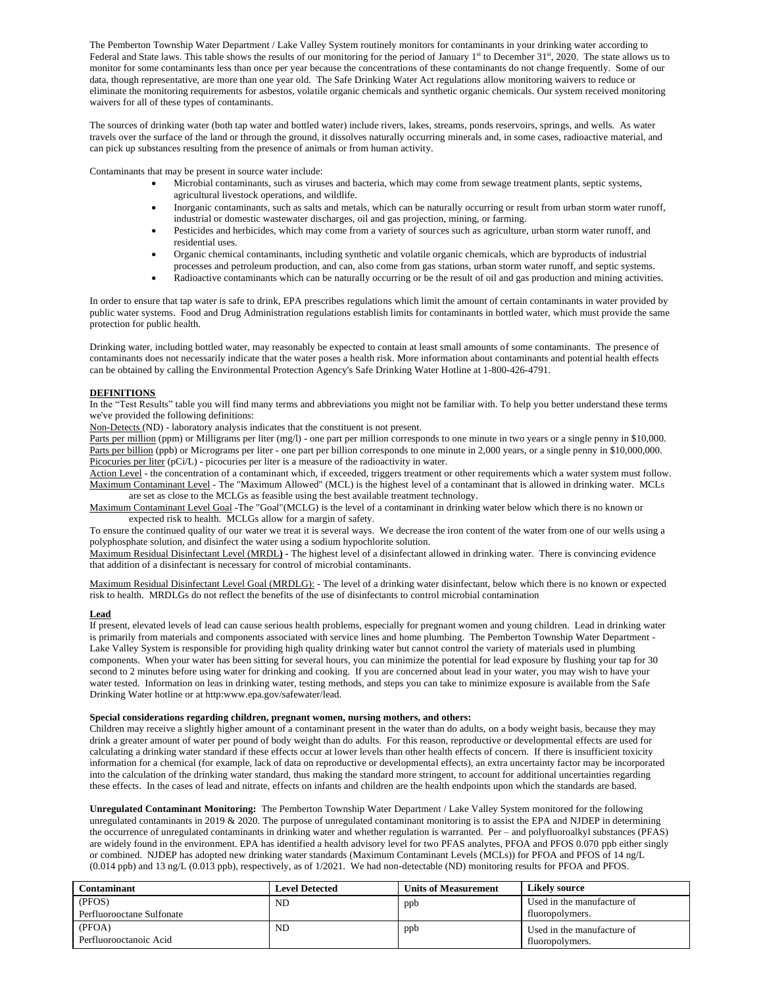The Pemberton Township Water Department / Lake Valley System routinely monitors for contaminants in your drinking water according to Federal and State laws. This table shows the results of our monitoring for the period of January 1<sup>st</sup> to December 31<sup>st</sup>, 2020. The state allows us to monitor for some contaminants less than once per year because the concentrations of these contaminants do not change frequently. Some of our data, though representative, are more than one year old. The Safe Drinking Water Act regulations allow monitoring waivers to reduce or eliminate the monitoring requirements for asbestos, volatile organic chemicals and synthetic organic chemicals. Our system received monitoring waivers for all of these types of contaminants.

The sources of drinking water (both tap water and bottled water) include rivers, lakes, streams, ponds reservoirs, springs, and wells. As water travels over the surface of the land or through the ground, it dissolves naturally occurring minerals and, in some cases, radioactive material, and can pick up substances resulting from the presence of animals or from human activity.

Contaminants that may be present in source water include:

- Microbial contaminants, such as viruses and bacteria, which may come from sewage treatment plants, septic systems, agricultural livestock operations, and wildlife.
- Inorganic contaminants, such as salts and metals, which can be naturally occurring or result from urban storm water runoff, industrial or domestic wastewater discharges, oil and gas projection, mining, or farming.
- Pesticides and herbicides, which may come from a variety of sources such as agriculture, urban storm water runoff, and residential uses.
- Organic chemical contaminants, including synthetic and volatile organic chemicals, which are byproducts of industrial processes and petroleum production, and can, also come from gas stations, urban storm water runoff, and septic systems.
- Radioactive contaminants which can be naturally occurring or be the result of oil and gas production and mining activities.

In order to ensure that tap water is safe to drink, EPA prescribes regulations which limit the amount of certain contaminants in water provided by public water systems. Food and Drug Administration regulations establish limits for contaminants in bottled water, which must provide the same protection for public health.

Drinking water, including bottled water, may reasonably be expected to contain at least small amounts of some contaminants. The presence of contaminants does not necessarily indicate that the water poses a health risk. More information about contaminants and potential health effects can be obtained by calling the Environmental Protection Agency's Safe Drinking Water Hotline at 1-800-426-4791.

# **DEFINITIONS**

In the "Test Results" table you will find many terms and abbreviations you might not be familiar with. To help you better understand these terms we've provided the following definitions:

Non-Detects (ND) - laboratory analysis indicates that the constituent is not present.

Parts per million (ppm) or Milligrams per liter (mg/l) - one part per million corresponds to one minute in two years or a single penny in \$10,000. Parts per billion (ppb) or Micrograms per liter - one part per billion corresponds to one minute in 2,000 years, or a single penny in \$10,000,000. Picocuries per liter (pCi/L) - picocuries per liter is a measure of the radioactivity in water.

Action Level - the concentration of a contaminant which, if exceeded, triggers treatment or other requirements which a water system must follow. Maximum Contaminant Level - The "Maximum Allowed" (MCL) is the highest level of a contaminant that is allowed in drinking water. MCLs are set as close to the MCLGs as feasible using the best available treatment technology.

Maximum Contaminant Level Goal -The "Goal"(MCLG) is the level of a contaminant in drinking water below which there is no known or expected risk to health. MCLGs allow for a margin of safety.

To ensure the continued quality of our water we treat it is several ways. We decrease the iron content of the water from one of our wells using a polyphosphate solution, and disinfect the water using a sodium hypochlorite solution.

Maximum Residual Disinfectant Level (MRDL**) -** The highest level of a disinfectant allowed in drinking water. There is convincing evidence that addition of a disinfectant is necessary for control of microbial contaminants.

Maximum Residual Disinfectant Level Goal (MRDLG): - The level of a drinking water disinfectant, below which there is no known or expected risk to health. MRDLGs do not reflect the benefits of the use of disinfectants to control microbial contamination

### **Lead**

If present, elevated levels of lead can cause serious health problems, especially for pregnant women and young children. Lead in drinking water is primarily from materials and components associated with service lines and home plumbing. The Pemberton Township Water Department - Lake Valley System is responsible for providing high quality drinking water but cannot control the variety of materials used in plumbing components. When your water has been sitting for several hours, you can minimize the potential for lead exposure by flushing your tap for 30 second to 2 minutes before using water for drinking and cooking. If you are concerned about lead in your water, you may wish to have your water tested. Information on leas in drinking water, testing methods, and steps you can take to minimize exposure is available from the Safe Drinking Water hotline or at http:www.epa.gov/safewater/lead.

#### **Special considerations regarding children, pregnant women, nursing mothers, and others:**

Children may receive a slightly higher amount of a contaminant present in the water than do adults, on a body weight basis, because they may drink a greater amount of water per pound of body weight than do adults. For this reason, reproductive or developmental effects are used for calculating a drinking water standard if these effects occur at lower levels than other health effects of concern. If there is insufficient toxicity information for a chemical (for example, lack of data on reproductive or developmental effects), an extra uncertainty factor may be incorporated into the calculation of the drinking water standard, thus making the standard more stringent, to account for additional uncertainties regarding these effects. In the cases of lead and nitrate, effects on infants and children are the health endpoints upon which the standards are based.

**Unregulated Contaminant Monitoring:** The Pemberton Township Water Department / Lake Valley System monitored for the following unregulated contaminants in 2019 & 2020. The purpose of unregulated contaminant monitoring is to assist the EPA and NJDEP in determining the occurrence of unregulated contaminants in drinking water and whether regulation is warranted. Per – and polyfluoroalkyl substances (PFAS) are widely found in the environment. EPA has identified a health advisory level for two PFAS analytes, PFOA and PFOS 0.070 ppb either singly or combined. NJDEP has adopted new drinking water standards (Maximum Contaminant Levels (MCLs)) for PFOA and PFOS of 14 ng/L (0.014 ppb) and 13 ng/L (0.013 ppb), respectively, as of 1/2021. We had non-detectable (ND) monitoring results for PFOA and PFOS.

| Contaminant               | <b>Level Detected</b> | <b>Units of Measurement</b> | Likely source              |
|---------------------------|-----------------------|-----------------------------|----------------------------|
| (PFOS)                    | ND                    | ppb                         | Used in the manufacture of |
| Perfluorooctane Sulfonate |                       |                             | fluoropolymers.            |
| (PFOA)                    | ND                    | ppb                         | Used in the manufacture of |
| Perfluorooctanoic Acid    |                       |                             | fluoropolymers.            |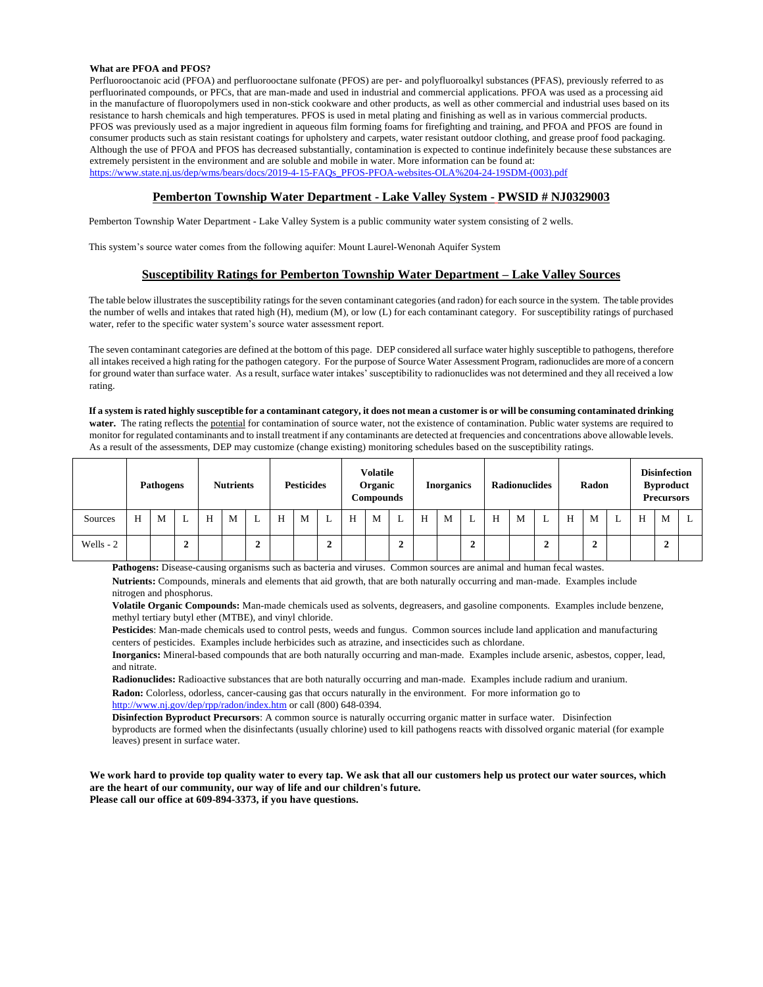#### **What are PFOA and PFOS?**

Perfluorooctanoic acid (PFOA) and perfluorooctane sulfonate (PFOS) are per- and polyfluoroalkyl substances (PFAS), previously referred to as perfluorinated compounds, or PFCs, that are man-made and used in industrial and commercial applications. PFOA was used as a processing aid in the manufacture of fluoropolymers used in non-stick cookware and other products, as well as other commercial and industrial uses based on its resistance to harsh chemicals and high temperatures. PFOS is used in metal plating and finishing as well as in various commercial products. PFOS was previously used as a major ingredient in aqueous film forming foams for firefighting and training, and PFOA and PFOS are found in consumer products such as stain resistant coatings for upholstery and carpets, water resistant outdoor clothing, and grease proof food packaging. Although the use of PFOA and PFOS has decreased substantially, contamination is expected to continue indefinitely because these substances are extremely persistent in the environment and are soluble and mobile in water. More information can be found at: [https://www.state.nj.us/dep/wms/bears/docs/2019-4-15-FAQs\\_PFOS-PFOA-websites-OLA%204-24-19SDM-\(003\).pdf](https://www.state.nj.us/dep/wms/bears/docs/2019-4-15-FAQs_PFOS-PFOA-websites-OLA%204-24-19SDM-(003).pdf)

## **Pemberton Township Water Department - Lake Valley System - PWSID # NJ0329003**

Pemberton Township Water Department - Lake Valley System is a public community water system consisting of 2 wells.

This system's source water comes from the following aquifer: Mount Laurel-Wenonah Aquifer System

# **Susceptibility Ratings for Pemberton Township Water Department – Lake Valley Sources**

The table below illustrates the susceptibility ratings for the seven contaminant categories (and radon) for each source in the system. The table provides the number of wells and intakes that rated high (H), medium (M), or low (L) for each contaminant category. For susceptibility ratings of purchased water, refer to the specific water system's source water assessment report.

The seven contaminant categories are defined at the bottom of this page. DEP considered all surface water highly susceptible to pathogens, therefore all intakes received a high rating for the pathogen category. For the purpose of Source Water Assessment Program, radionuclides are more of a concern for ground water than surface water. As a result, surface water intakes' susceptibility to radionuclides was not determined and they all received a low rating.

**If a system is rated highly susceptible for a contaminant category, it does not mean a customer is or will be consuming contaminated drinking water.** The rating reflects the potential for contamination of source water, not the existence of contamination. Public water systems are required to monitor for regulated contaminants and to install treatment if any contaminants are detected at frequencies and concentrations above allowable levels. As a result of the assessments, DEP may customize (change existing) monitoring schedules based on the susceptibility ratings.

|            | <b>Pathogens</b> |   |   | <b>Nutrients</b> |   | <b>Pesticides</b>   |   | <b>Volatile</b><br>Organic<br><b>Compounds</b> |              | <b>Inorganics</b> |   | <b>Radionuclides</b> |   | Radon |        |   | <b>Disinfection</b><br><b>Byproduct</b><br><b>Precursors</b> |             |   |        |   |   |   |   |
|------------|------------------|---|---|------------------|---|---------------------|---|------------------------------------------------|--------------|-------------------|---|----------------------|---|-------|--------|---|--------------------------------------------------------------|-------------|---|--------|---|---|---|---|
| Sources    | Н                | M | L | Н                | M |                     | Н | M                                              | L            | Н                 | M | ∸                    | H | M     | ∸      | H | M                                                            | L           | Н | M      | ∸ | Н | M | ≖ |
| Wells $-2$ |                  |   | 2 |                  |   | ◠<br>$\overline{ }$ |   |                                                | $\mathbf{2}$ |                   |   | ◠<br>▵               |   |       | ◠<br>∠ |   |                                                              | $\mathbf 2$ |   | ◠<br>◢ |   |   | ◢ |   |

**Pathogens:** Disease-causing organisms such as bacteria and viruses. Common sources are animal and human fecal wastes.

**Nutrients:** Compounds, minerals and elements that aid growth, that are both naturally occurring and man-made. Examples include nitrogen and phosphorus.

**Volatile Organic Compounds:** Man-made chemicals used as solvents, degreasers, and gasoline components. Examples include benzene, methyl tertiary butyl ether (MTBE), and vinyl chloride.

**Pesticides**: Man-made chemicals used to control pests, weeds and fungus. Common sources include land application and manufacturing centers of pesticides. Examples include herbicides such as atrazine, and insecticides such as chlordane.

**Inorganics:** Mineral-based compounds that are both naturally occurring and man-made. Examples include arsenic, asbestos, copper, lead, and nitrate.

**Radionuclides:** Radioactive substances that are both naturally occurring and man-made. Examples include radium and uranium. **Radon:** Colorless, odorless, cancer-causing gas that occurs naturally in the environment. For more information go to http://www.nj.gov/dep/rpp/radon/index.htm or call (800) 648-0394.

**Disinfection Byproduct Precursors**: A common source is naturally occurring organic matter in surface water. Disinfection byproducts are formed when the disinfectants (usually chlorine) used to kill pathogens reacts with dissolved organic material (for example leaves) present in surface water.

**We work hard to provide top quality water to every tap. We ask that all our customers help us protect our water sources, which are the heart of our community, our way of life and our children's future. Please call our office at 609-894-3373, if you have questions.**